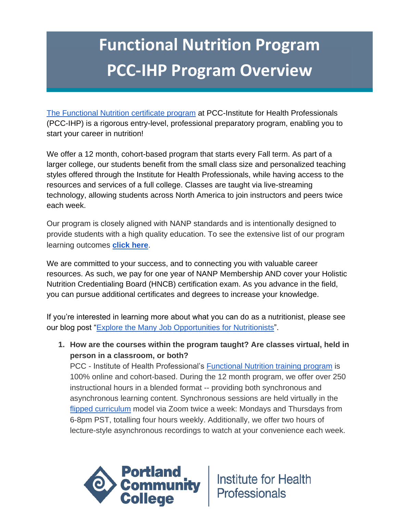# **Functional Nutrition Program PCC-IHP Program Overview**

[The Functional Nutrition certificate program](https://www.pcc.edu/climb/health/integrative/functional-nutrition/) at PCC-Institute for Health Professionals (PCC-IHP) is a rigorous entry-level, professional preparatory program, enabling you to start your career in nutrition!

We offer a 12 month, cohort-based program that starts every Fall term. As part of a larger college, our students benefit from the small class size and personalized teaching styles offered through the Institute for Health Professionals, while having access to the resources and services of a full college. Classes are taught via live-streaming technology, allowing students across North America to join instructors and peers twice each week.

Our program is closely aligned with NANP standards and is intentionally designed to provide students with a high quality education. To see the extensive list of our program learning outcomes **[click here](https://climb.pcc.edu/functional-nutrition-module-learning-outcomes)**.

We are committed to your success, and to connecting you with valuable career resources. As such, we pay for one year of NANP Membership AND cover your Holistic Nutrition Credentialing Board (HNCB) certification exam. As you advance in the field, you can pursue additional certificates and degrees to increase your knowledge.

If you're interested in learning more about what you can do as a nutritionist, please see our blog post ["Explore the Many Job Opportunities for Nutritionists"](http://climb.pcc.edu/blog/exploring-the-many-job-opportunities-for-nutritionists).

**1. How are the courses within the program taught? Are classes virtual, held in person in a classroom, or both?**

PCC - Institute of Health Professional's [Functional Nutrition training program](https://climb.pcc.edu/functional-nutrition-newsletter) is 100% online and cohort-based. During the 12 month program, we offer over 250 instructional hours in a blended format -- providing both synchronous and asynchronous learning content. Synchronous sessions are held virtually in the [flipped curriculum](https://www.youtube.com/watch?v=tSCN9nDNw_k) model via Zoom twice a week: Mondays and Thursdays from 6-8pm PST, totalling four hours weekly. Additionally, we offer two hours of lecture-style asynchronous recordings to watch at your convenience each week.

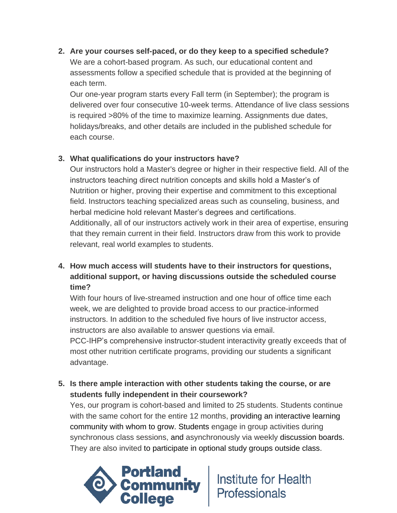**2. Are your courses self-paced, or do they keep to a specified schedule?** We are a cohort-based program. As such, our educational content and assessments follow a specified schedule that is provided at the beginning of each term.

Our one-year program starts every Fall term (in September); the program is delivered over four consecutive 10-week terms. Attendance of live class sessions is required >80% of the time to maximize learning. Assignments due dates, holidays/breaks, and other details are included in the published schedule for each course.

# **3. What qualifications do your instructors have?**

Our instructors hold a Master's degree or higher in their respective field. All of the instructors teaching direct nutrition concepts and skills hold a Master's of Nutrition or higher, proving their expertise and commitment to this exceptional field. Instructors teaching specialized areas such as counseling, business, and herbal medicine hold relevant Master's degrees and certifications. Additionally, all of our instructors actively work in their area of expertise, ensuring that they remain current in their field. Instructors draw from this work to provide relevant, real world examples to students.

**4. How much access will students have to their instructors for questions, additional support, or having discussions outside the scheduled course time?**

With four hours of live-streamed instruction and one hour of office time each week, we are delighted to provide broad access to our practice-informed instructors. In addition to the scheduled five hours of live instructor access, instructors are also available to answer questions via email.

PCC-IHP's comprehensive instructor-student interactivity greatly exceeds that of most other nutrition certificate programs, providing our students a significant advantage.

**5. Is there ample interaction with other students taking the course, or are students fully independent in their coursework?**

Yes, our program is cohort-based and limited to 25 students. Students continue with the same cohort for the entire 12 months, providing an interactive learning community with whom to grow. Students engage in group activities during synchronous class sessions, and asynchronously via weekly discussion boards. They are also invited to participate in optional study groups outside class.

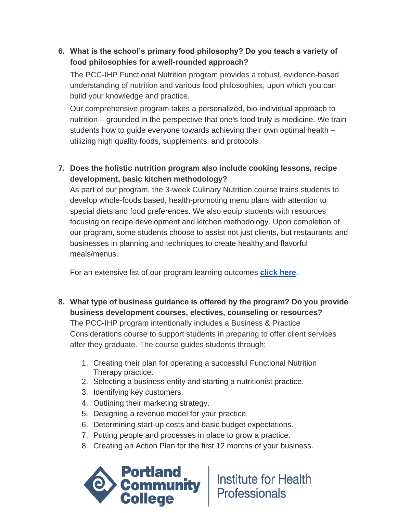# **6. What is the school's primary food philosophy? Do you teach a variety of food philosophies for a well-rounded approach?**

The PCC-IHP Functional Nutrition program provides a robust, evidence-based understanding of nutrition and various food philosophies, upon which you can build your knowledge and practice.

Our comprehensive program takes a personalized, bio-individual approach to nutrition – grounded in the perspective that one's food truly is medicine. We train students how to guide everyone towards achieving their own optimal health – utilizing high quality foods, supplements, and protocols.

# **7. Does the holistic nutrition program also include cooking lessons, recipe development, basic kitchen methodology?**

As part of our program, the 3-week Culinary Nutrition course trains students to develop whole-foods based, health-promoting menu plans with attention to special diets and food preferences. We also equip students with resources focusing on recipe development and kitchen methodology. Upon completion of our program, some students choose to assist not just clients, but restaurants and businesses in planning and techniques to create healthy and flavorful meals/menus.

For an extensive list of our program learning outcomes **[click here](https://climb.pcc.edu/functional-nutrition-module-learning-outcomes)**.

- **8. What type of business guidance is offered by the program? Do you provide business development courses, electives, counseling or resources?** The PCC-IHP program intentionally includes a Business & Practice Considerations course to support students in preparing to offer client services after they graduate. The course guides students through:
	- 1. Creating their plan for operating a successful Functional Nutrition Therapy practice.
	- 2. Selecting a business entity and starting a nutritionist practice.
	- 3. Identifying key customers.
	- 4. Outlining their marketing strategy.
	- 5. Designing a revenue model for your practice.
	- 6. Determining start-up costs and basic budget expectations.
	- 7. Putting people and processes in place to grow a practice.
	- 8. Creating an Action Plan for the first 12 months of your business.

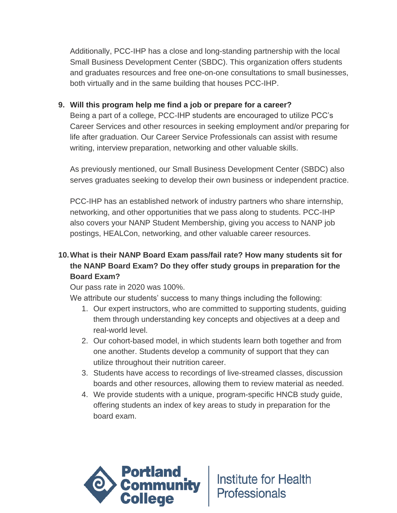Additionally, PCC-IHP has a close and long-standing partnership with the local Small Business Development Center (SBDC). This organization offers students and graduates resources and free one-on-one consultations to small businesses, both virtually and in the same building that houses PCC-IHP.

#### **9. Will this program help me find a job or prepare for a career?**

Being a part of a college, PCC-IHP students are encouraged to utilize PCC's Career Services and other resources in seeking employment and/or preparing for life after graduation. Our Career Service Professionals can assist with resume writing, interview preparation, networking and other valuable skills.

As previously mentioned, our Small Business Development Center (SBDC) also serves graduates seeking to develop their own business or independent practice.

PCC-IHP has an established network of industry partners who share internship, networking, and other opportunities that we pass along to students. PCC-IHP also covers your NANP Student Membership, giving you access to NANP job postings, HEALCon, networking, and other valuable career resources.

# **10.What is their NANP Board Exam pass/fail rate? How many students sit for the NANP Board Exam? Do they offer study groups in preparation for the Board Exam?**

Our pass rate in 2020 was 100%.

We attribute our students' success to many things including the following:

- 1. Our expert instructors, who are committed to supporting students, guiding them through understanding key concepts and objectives at a deep and real-world level.
- 2. Our cohort-based model, in which students learn both together and from one another. Students develop a community of support that they can utilize throughout their nutrition career.
- 3. Students have access to recordings of live-streamed classes, discussion boards and other resources, allowing them to review material as needed.
- 4. We provide students with a unique, program-specific HNCB study guide, offering students an index of key areas to study in preparation for the board exam.

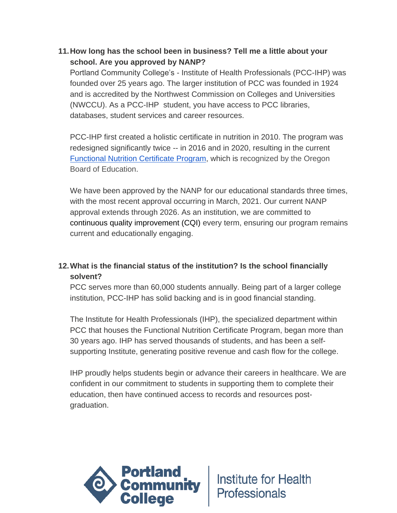## **11.How long has the school been in business? Tell me a little about your school. Are you approved by NANP?**

Portland Community College's - Institute of Health Professionals (PCC-IHP) was founded over 25 years ago. The larger institution of PCC was founded in 1924 and is accredited by the Northwest Commission on Colleges and Universities (NWCCU). As a PCC-IHP student, you have access to PCC libraries, databases, student services and career resources.

PCC-IHP first created a holistic certificate in nutrition in 2010. The program was redesigned significantly twice -- in 2016 and in 2020, resulting in the current [Functional Nutrition Certificate Program,](https://www.pcc.edu/climb/health/integrative/functional-nutrition/) which is recognized by the Oregon Board of Education.

We have been approved by the NANP for our educational standards three times, with the most recent approval occurring in March, 2021. Our current NANP approval extends through 2026. As an institution, we are committed to continuous quality improvement (CQI) every term, ensuring our program remains current and educationally engaging.

# **12.What is the financial status of the institution? Is the school financially solvent?**

PCC serves more than 60,000 students annually. Being part of a larger college institution, PCC-IHP has solid backing and is in good financial standing.

The Institute for Health Professionals (IHP), the specialized department within PCC that houses the Functional Nutrition Certificate Program, began more than 30 years ago. IHP has served thousands of students, and has been a selfsupporting Institute, generating positive revenue and cash flow for the college.

IHP proudly helps students begin or advance their careers in healthcare. We are confident in our commitment to students in supporting them to complete their education, then have continued access to records and resources postgraduation.